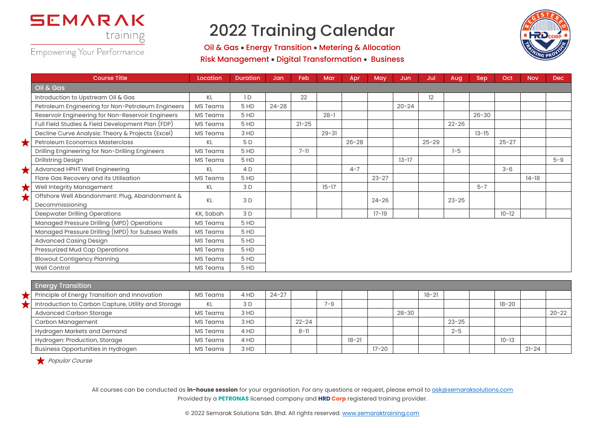

## 2022 Training Calendar

Oil & Gas • Energy Transition • Metering & Allocation Risk Management • Digital Transformation • Business



|   | <b>Course Title</b>                                               | Location        | <b>Duration</b> | Jan       | Feb       | Mar       | Apr       | May       | Jun.      | Jul       | Aug       | Sep       | Oct       | <b>Nov</b> | <b>Dec</b> |
|---|-------------------------------------------------------------------|-----------------|-----------------|-----------|-----------|-----------|-----------|-----------|-----------|-----------|-----------|-----------|-----------|------------|------------|
|   | Oil & Gas                                                         |                 |                 |           |           |           |           |           |           |           |           |           |           |            |            |
|   | Introduction to Upstream Oil & Gas                                | KL              | 1D              |           | 22        |           |           |           |           | 12        |           |           |           |            |            |
|   | Petroleum Engineering for Non-Petroleum Engineers                 | <b>MS Teams</b> | 5 HD            | $24 - 28$ |           |           |           |           | $20 - 24$ |           |           |           |           |            |            |
|   | Reservoir Engineering for Non-Reservoir Engineers                 | <b>MS Teams</b> | 5 HD            |           |           | $28 - 1$  |           |           |           |           |           | $26 - 30$ |           |            |            |
|   | Full Field Studies & Field Development Plan (FDP)                 | MS Teams        | 5 HD            |           | $21 - 25$ |           |           |           |           |           | $22 - 26$ |           |           |            |            |
|   | Decline Curve Analysis: Theory & Projects (Excel)                 | <b>MS Teams</b> | 3 HD            |           |           | $29 - 31$ |           |           |           |           |           | $13 - 15$ |           |            |            |
|   | Petroleum Economics Masterclass                                   | KL              | 5 D             |           |           |           | $26 - 28$ |           |           | $25 - 29$ |           |           | $25 - 27$ |            |            |
|   | Drilling Engineering for Non-Drilling Engineers                   | <b>MS Teams</b> | 5 HD            |           | $7 - 11$  |           |           |           |           |           | $1 - 5$   |           |           |            |            |
|   | <b>Drillstring Design</b>                                         | MS Teams        | 5 HD            |           |           |           |           |           | $13 - 17$ |           |           |           |           |            | $5 - 9$    |
|   | Advanced HPHT Well Engineering                                    | KL              | 4 D             |           |           |           | $4 - 7$   |           |           |           |           |           | $3 - 6$   |            |            |
|   | Flare Gas Recovery and its Utilisation                            | <b>MS Teams</b> | 5 HD            |           |           |           |           | $23 - 27$ |           |           |           |           |           | $14-18$    |            |
| Х | Well Integrity Management                                         | KL              | 3 D             |           |           | $15 - 17$ |           |           |           |           |           | $5 - 7$   |           |            |            |
|   | Offshore Well Abandonment: Plug, Abandonment &<br>Decommissioning | KL              | 3D              |           |           |           |           | $24 - 26$ |           |           | $23 - 25$ |           |           |            |            |
|   | Deepwater Drilling Operations                                     | KK, Sabah       | 3 D             |           |           |           |           | $17 - 19$ |           |           |           |           | $10 - 12$ |            |            |
|   | Managed Pressure Drilling (MPD) Operations                        | <b>MS Teams</b> | 5 HD            |           |           |           |           |           |           |           |           |           |           |            |            |
|   | Managed Pressure Drilling (MPD) for Subsea Wells                  | MS Teams        | 5 HD            |           |           |           |           |           |           |           |           |           |           |            |            |
|   | <b>Advanced Casing Design</b>                                     | <b>MS Teams</b> | 5 HD            |           |           |           |           |           |           |           |           |           |           |            |            |
|   | Pressurized Mud Cap Operations                                    | <b>MS Teams</b> | 5 HD            |           |           |           |           |           |           |           |           |           |           |            |            |
|   | <b>Blowout Contigency Planning</b>                                | <b>MS Teams</b> | 5 HD            |           |           |           |           |           |           |           |           |           |           |            |            |
|   | <b>Well Control</b>                                               | <b>MS Teams</b> | 5 HD            |           |           |           |           |           |           |           |           |           |           |            |            |

| <b>Energy Transition</b>                            |                 |      |           |           |         |           |           |           |           |           |           |           |           |
|-----------------------------------------------------|-----------------|------|-----------|-----------|---------|-----------|-----------|-----------|-----------|-----------|-----------|-----------|-----------|
| Principle of Energy Transition and Innovation       | <b>MS Teams</b> | 4 HD | $24 - 27$ |           |         |           |           |           | $18 - 21$ |           |           |           |           |
| Introduction to Carbon Capture, Utility and Storage | KL              | 3 D  |           |           | $7 - 9$ |           |           |           |           |           | $18 - 20$ |           |           |
| <b>Advanced Carbon Storage</b>                      | MS Teams        | 3 HD |           |           |         |           |           | $28 - 30$ |           |           |           |           | $20 - 22$ |
| Carbon Management                                   | MS Teams        | 3 HD |           | $22 - 24$ |         |           |           |           |           | $23 - 25$ |           |           |           |
| Hydrogen Markets and Demand                         | MS Teams        | 4 HD |           | $8 - 11$  |         |           |           |           |           | $2 - 5$   |           |           |           |
| Hydrogen: Production, Storage                       | <b>MS Teams</b> | 4 HD |           |           |         | $18 - 21$ |           |           |           |           | $10 - 13$ |           |           |
| <b>Business Opportunities in Hydrogen</b>           | <b>MS Teams</b> | 3 HD |           |           |         |           | $17 - 20$ |           |           |           |           | $21 - 24$ |           |

Popular Course

All courses can be conducted as *in-house session* for your organisation. For any questions or request, please email to ask@semaraksolutions.com Provided by a **PETRONAS** licensed company and **HRD Corp** registered training provider.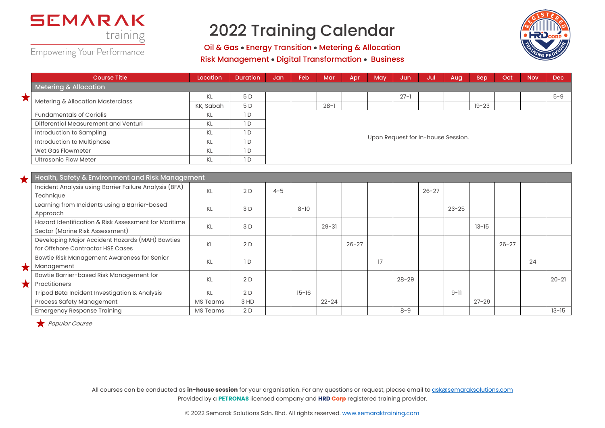

## 2022 Training Calendar

Oil & Gas • Energy Transition • Metering & Allocation Risk Management • Digital Transformation • Business



|            | <b>Course Title</b>                                    | Location        | <b>Duration</b> | Jan                                | Feb       | Mar       | Apr       | May | Jun       | Jul       | Aug       | Sep       | Oct       | <b>Nov</b> | Dec       |
|------------|--------------------------------------------------------|-----------------|-----------------|------------------------------------|-----------|-----------|-----------|-----|-----------|-----------|-----------|-----------|-----------|------------|-----------|
|            | <b>Metering &amp; Allocation</b>                       |                 |                 |                                    |           |           |           |     |           |           |           |           |           |            |           |
| ★          | Metering & Allocation Masterclass                      | KL              | 5 D             |                                    |           |           |           |     | $27 - 1$  |           |           |           |           |            | $5 - 9$   |
|            |                                                        | KK, Sabah       | 5 D             |                                    |           | $28 - 1$  |           |     |           |           |           | $19 - 23$ |           |            |           |
|            | <b>Fundamentals of Coriolis</b>                        | KL              | 1D              |                                    |           |           |           |     |           |           |           |           |           |            |           |
|            | Differential Measurement and Venturi                   | KL              | 1D              |                                    |           |           |           |     |           |           |           |           |           |            |           |
|            | Introduction to Sampling                               | KL              | 1D              |                                    |           |           |           |     |           |           |           |           |           |            |           |
|            | Introduction to Multiphase                             | <b>KL</b>       | 1D              | Upon Request for In-house Session. |           |           |           |     |           |           |           |           |           |            |           |
|            | Wet Gas Flowmeter                                      | 1D<br>KL        |                 |                                    |           |           |           |     |           |           |           |           |           |            |           |
|            | <b>Ultrasonic Flow Meter</b><br>KL<br>1D               |                 |                 |                                    |           |           |           |     |           |           |           |           |           |            |           |
|            |                                                        |                 |                 |                                    |           |           |           |     |           |           |           |           |           |            |           |
|            | Health, Safety & Environment and Risk Management       |                 |                 |                                    |           |           |           |     |           |           |           |           |           |            |           |
|            | Incident Analysis using Barrier Failure Analysis (BFA) | KL              | 2D              | $4 - 5$                            |           |           |           |     |           | $26 - 27$ |           |           |           |            |           |
|            | Technique                                              |                 |                 |                                    |           |           |           |     |           |           |           |           |           |            |           |
|            | Learning from Incidents using a Barrier-based          | KL              | 3 D             |                                    | $8 - 10$  |           |           |     |           |           | $23 - 25$ |           |           |            |           |
|            | Approach                                               |                 |                 |                                    |           |           |           |     |           |           |           |           |           |            |           |
|            | Hazard Identification & Risk Assessment for Maritime   | <b>KL</b>       | 3 D             |                                    |           | $29 - 31$ |           |     |           |           |           | $13 - 15$ |           |            |           |
|            | Sector (Marine Risk Assessment)                        |                 |                 |                                    |           |           |           |     |           |           |           |           |           |            |           |
|            | Developing Major Accident Hazards (MAH) Bowties        | KL              | 2D              |                                    |           |           | $26 - 27$ |     |           |           |           |           | $26 - 27$ |            |           |
|            | for Offshore Contractor HSE Cases                      |                 |                 |                                    |           |           |           |     |           |           |           |           |           |            |           |
|            | Bowtie Risk Management Awareness for Senior            | <b>KL</b>       | 1D              |                                    |           |           |           | 17  |           |           |           |           |           | 24         |           |
|            | Management                                             |                 |                 |                                    |           |           |           |     |           |           |           |           |           |            |           |
|            | Bowtie Barrier-based Risk Management for               | KL              | 2D              |                                    |           |           |           |     | $28 - 29$ |           |           |           |           |            | $20 - 21$ |
| $\bigstar$ | Practitioners                                          |                 |                 |                                    |           |           |           |     |           |           |           |           |           |            |           |
|            | Tripod Beta Incident Investigation & Analysis          | KL              | 2D              |                                    | $15 - 16$ |           |           |     |           |           | $9 - 11$  |           |           |            |           |
|            | Process Safety Management                              | <b>MS Teams</b> | 3 HD            |                                    |           | $22 - 24$ |           |     |           |           |           | $27 - 29$ |           |            |           |
|            | <b>Emergency Response Training</b>                     | <b>MS Teams</b> | 2D              |                                    |           |           |           |     | $8 - 9$   |           |           |           |           |            | $13 - 15$ |

Popular Course

All courses can be conducted as *in-house session* for your organisation. For any questions or request, please email to ask@semaraksolutions.com Provided by a **PETRONAS** licensed company and **HRD Corp** registered training provider.

© 2022 Semarak Solutions Sdn. Bhd. All rights reserved. www.semaraktraining.com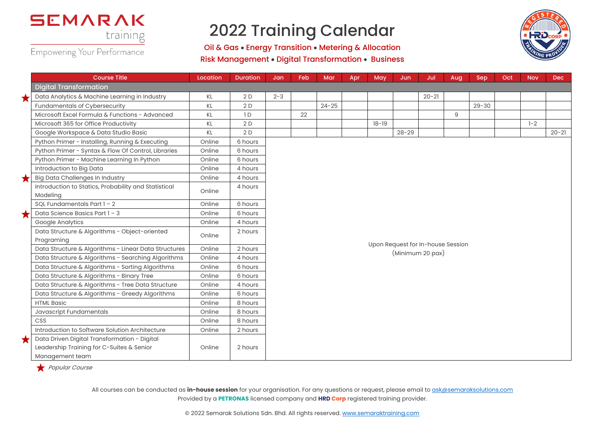

## 2022 Training Calendar

Oil & Gas • Energy Transition • Metering & Allocation Risk Management • Digital Transformation • Business



|   | <b>Course Title</b>                                                                                          | Location | <b>Duration</b> | Jan     | Feb | Mar       | Apr | May       | Jun                               | Jul       | Aug | Sep       | Oct | <b>Nov</b> | Dec       |  |  |
|---|--------------------------------------------------------------------------------------------------------------|----------|-----------------|---------|-----|-----------|-----|-----------|-----------------------------------|-----------|-----|-----------|-----|------------|-----------|--|--|
|   | <b>Digital Transformation</b>                                                                                |          |                 |         |     |           |     |           |                                   |           |     |           |     |            |           |  |  |
| ★ | Data Analytics & Machine Learning in Industry                                                                | KL       | 2D              | $2 - 3$ |     |           |     |           |                                   | $20 - 21$ |     |           |     |            |           |  |  |
|   | Fundamentals of Cybersecurity                                                                                | KL       | 2D              |         |     | $24 - 25$ |     |           |                                   |           |     | $29 - 30$ |     |            |           |  |  |
|   | Microsoft Excel Formula & Functions - Advanced                                                               | KL       | 1D              |         | 22  |           |     |           |                                   |           | 9   |           |     |            |           |  |  |
|   | Microsoft 365 for Office Productivity                                                                        | KL       | 2D              |         |     |           |     | $18 - 19$ |                                   |           |     |           |     | $1 - 2$    |           |  |  |
|   | Google Workspace & Data Studio Basic                                                                         | ΚL       | 2D              |         |     |           |     |           | $28 - 29$                         |           |     |           |     |            | $20 - 21$ |  |  |
|   | Python Primer - Installing, Running & Executing                                                              | Online   | 6 hours         |         |     |           |     |           |                                   |           |     |           |     |            |           |  |  |
|   | Python Primer - Syntax & Flow Of Control, Libraries                                                          | Online   | 6 hours         |         |     |           |     |           |                                   |           |     |           |     |            |           |  |  |
|   | Python Primer - Machine Learning In Python                                                                   | Online   | 6 hours         |         |     |           |     |           |                                   |           |     |           |     |            |           |  |  |
|   | Introduction to Big Data                                                                                     | Online   | 4 hours         |         |     |           |     |           |                                   |           |     |           |     |            |           |  |  |
| ★ | <b>Big Data Challenges In Industry</b>                                                                       | Online   | 4 hours         |         |     |           |     |           |                                   |           |     |           |     |            |           |  |  |
|   | Introduction to Statics, Probability and Statistical<br>Modeling                                             | Online   | 4 hours         |         |     |           |     |           |                                   |           |     |           |     |            |           |  |  |
|   | SQL Fundamentals Part $1 - 2$                                                                                | Online   | 6 hours         |         |     |           |     |           |                                   |           |     |           |     |            |           |  |  |
|   | Data Science Basics Part 1 - 3                                                                               | Online   | 6 hours         |         |     |           |     |           |                                   |           |     |           |     |            |           |  |  |
|   | Google Analytics                                                                                             | Online   | 4 hours         |         |     |           |     |           |                                   |           |     |           |     |            |           |  |  |
|   | Data Structure & Algorithms - Object-oriented<br>Programing                                                  | Online   | 2 hours         |         |     |           |     |           |                                   |           |     |           |     |            |           |  |  |
|   | Data Structure & Algorithms - Linear Data Structures                                                         | Online   | 2 hours         |         |     |           |     |           | Upon Request for In-house Session |           |     |           |     |            |           |  |  |
|   | Data Structure & Algorithms - Searching Algorithms                                                           | Online   | 4 hours         |         |     |           |     |           | (Minimum 20 pax)                  |           |     |           |     |            |           |  |  |
|   | Data Structure & Algorithms - Sorting Algorithms                                                             | Online   | 6 hours         |         |     |           |     |           |                                   |           |     |           |     |            |           |  |  |
|   | Data Structure & Algorithms - Binary Tree                                                                    | Online   | 6 hours         |         |     |           |     |           |                                   |           |     |           |     |            |           |  |  |
|   | Data Structure & Algorithms - Tree Data Structure                                                            | Online   | 4 hours         |         |     |           |     |           |                                   |           |     |           |     |            |           |  |  |
|   | Data Structure & Algorithms - Greedy Algorithms                                                              | Online   | 6 hours         |         |     |           |     |           |                                   |           |     |           |     |            |           |  |  |
|   | <b>HTML Basic</b>                                                                                            | Online   | 8 hours         |         |     |           |     |           |                                   |           |     |           |     |            |           |  |  |
|   | Javascript Fundamentals                                                                                      | Online   | 8 hours         |         |     |           |     |           |                                   |           |     |           |     |            |           |  |  |
|   | CSS                                                                                                          | Online   | 8 hours         |         |     |           |     |           |                                   |           |     |           |     |            |           |  |  |
|   | Introduction to Software Solution Architecture                                                               | Online   | 2 hours         |         |     |           |     |           |                                   |           |     |           |     |            |           |  |  |
| Х | Data Driven Digital Transformation - Digital<br>Leadership Training for C-Suites & Senior<br>Management team | Online   | 2 hours         |         |     |           |     |           |                                   |           |     |           |     |            |           |  |  |

Popular Course

All courses can be conducted as *in-house session* for your organisation. For any questions or request, please email to ask@semaraksolutions.com Provided by a **PETRONAS** licensed company and **HRD Corp** registered training provider.